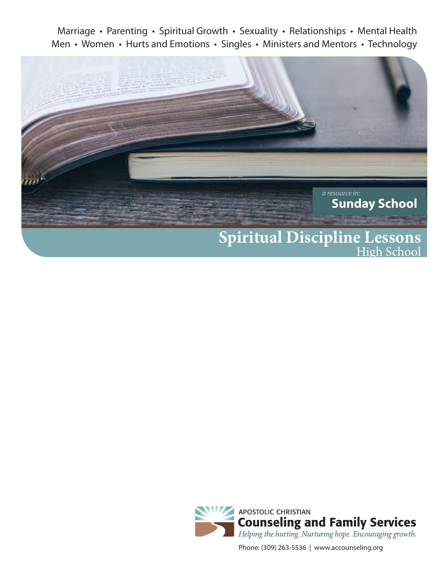Marriage • Parenting • Spiritual Growth • Sexuality • Relationships • Mental Health Men • Women • Hurts and Emotions • Singles • Ministers and Mentors • Technology





Phone: (309) 263-5536 | www.accounseling.org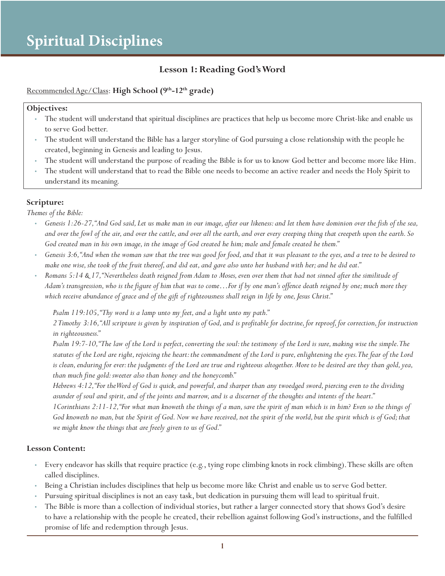## **Lesson 1: Reading God's Word**

#### Recommended Age/Class: **High School (9th-12th grade)**

#### **Objectives:**

- The student will understand that spiritual disciplines are practices that help us become more Christ-like and enable us to serve God better.
- The student will understand the Bible has a larger storyline of God pursuing a close relationship with the people he created, beginning in Genesis and leading to Jesus.
- The student will understand the purpose of reading the Bible is for us to know God better and become more like Him.
- The student will understand that to read the Bible one needs to become an active reader and needs the Holy Spirit to understand its meaning.

#### **Scripture:**

*Themes of the Bible:*

- *Genesis 1:26-27, "And God said, Let us make man in our image, after our likeness: and let them have dominion over the fish of the sea, and over the fowl of the air, and over the cattle, and over all the earth, and over every creeping thing that creepeth upon the earth. So God created man in his own image, in the image of God created he him; male and female created he them."*
- *Genesis 3:6, "And when the woman saw that the tree was good for food, and that it was pleasant to the eyes, and a tree to be desired to make one wise, she took of the fruit thereof, and did eat, and gave also unto her husband with her; and he did eat."*
- *Romans 5:14 & 17, "Nevertheless death reigned from Adam to Moses, even over them that had not sinned after the similitude of Adam's transgression, who is the figure of him that was to come…For if by one man's offence death reigned by one; much more they which receive abundance of grace and of the gift of righteousness shall reign in life by one, Jesus Christ."*

*Psalm 119:105, "Thy word is a lamp unto my feet, and a light unto my path."*

*2 Timothy 3:16, "All scripture is given by inspiration of God, and is profitable for doctrine, for reproof, for correction, for instruction in righteousness."*

*Psalm 19:7-10, "The law of the Lord is perfect, converting the soul: the testimony of the Lord is sure, making wise the simple. The statutes of the Lord are right, rejoicing the heart: the commandment of the Lord is pure, enlightening the eyes. The fear of the Lord*  is clean, enduring for ever: the judgments of the Lord are true and righteous altogether. More to be desired are they than gold, yea, *than much fine gold: sweeter also than honey and the honeycomb."*

*Hebrews 4:12, "For the Word of God is quick, and powerful, and sharper than any twoedged sword, piercing even to the dividing asunder of soul and spirit, and of the joints and marrow, and is a discerner of the thoughts and intents of the heart."*

*1Corinthians 2:11-12, "For what man knoweth the things of a man, save the spirit of man which is in him? Even so the things of God knoweth no man, but the Spirit of God. Now we have received, not the spirit of the world, but the spirit which is of God; that we might know the things that are freely given to us of God."*

- Every endeavor has skills that require practice (e.g., tying rope climbing knots in rock climbing). These skills are often called disciplines.
- Being a Christian includes disciplines that help us become more like Christ and enable us to serve God better.
- Pursuing spiritual disciplines is not an easy task, but dedication in pursuing them will lead to spiritual fruit.
- The Bible is more than a collection of individual stories, but rather a larger connected story that shows God's desire to have a relationship with the people he created, their rebellion against following God's instructions, and the fulfilled promise of life and redemption through Jesus.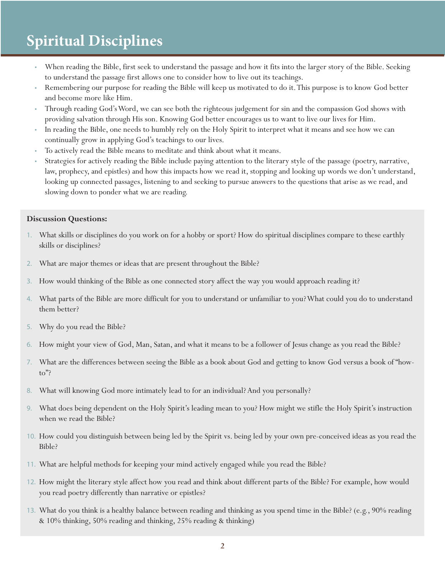- When reading the Bible, first seek to understand the passage and how it fits into the larger story of the Bible. Seeking to understand the passage first allows one to consider how to live out its teachings.
- Remembering our purpose for reading the Bible will keep us motivated to do it. This purpose is to know God better and become more like Him.
- Through reading God's Word, we can see both the righteous judgement for sin and the compassion God shows with providing salvation through His son. Knowing God better encourages us to want to live our lives for Him.
- In reading the Bible, one needs to humbly rely on the Holy Spirit to interpret what it means and see how we can continually grow in applying God's teachings to our lives.
- To actively read the Bible means to meditate and think about what it means.
- Strategies for actively reading the Bible include paying attention to the literary style of the passage (poetry, narrative, law, prophecy, and epistles) and how this impacts how we read it, stopping and looking up words we don't understand, looking up connected passages, listening to and seeking to pursue answers to the questions that arise as we read, and slowing down to ponder what we are reading.

#### **Discussion Questions:**

- 1. What skills or disciplines do you work on for a hobby or sport? How do spiritual disciplines compare to these earthly skills or disciplines?
- 2. What are major themes or ideas that are present throughout the Bible?
- 3. How would thinking of the Bible as one connected story affect the way you would approach reading it?
- 4. What parts of the Bible are more difficult for you to understand or unfamiliar to you? What could you do to understand them better?
- 5. Why do you read the Bible?
- 6. How might your view of God, Man, Satan, and what it means to be a follower of Jesus change as you read the Bible?
- 7. What are the differences between seeing the Bible as a book about God and getting to know God versus a book of "howto"?
- 8. What will knowing God more intimately lead to for an individual? And you personally?
- 9. What does being dependent on the Holy Spirit's leading mean to you? How might we stifle the Holy Spirit's instruction when we read the Bible?
- 10. How could you distinguish between being led by the Spirit vs. being led by your own pre-conceived ideas as you read the Bible?
- 11. What are helpful methods for keeping your mind actively engaged while you read the Bible?
- 12. How might the literary style affect how you read and think about different parts of the Bible? For example, how would you read poetry differently than narrative or epistles?
- 13. What do you think is a healthy balance between reading and thinking as you spend time in the Bible? (e.g., 90% reading & 10% thinking, 50% reading and thinking, 25% reading & thinking)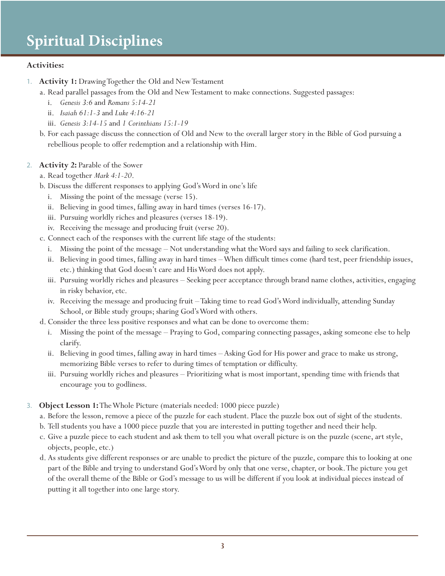#### **Activities:**

- 1. **Activity 1:** Drawing Together the Old and New Testament
	- a. Read parallel passages from the Old and New Testament to make connections. Suggested passages:
		- i. *Genesis 3:6* and *Romans 5:14-21*
		- ii. *Isaiah 61:1-3* and *Luke 4:16-21*
		- iii. *Genesis 3:14-15* and *1 Corinthians 15:1-19*
	- b. For each passage discuss the connection of Old and New to the overall larger story in the Bible of God pursuing a rebellious people to offer redemption and a relationship with Him.
- 2. **Activity 2:** Parable of the Sower
	- a. Read together *Mark 4:1-20*.
	- b. Discuss the different responses to applying God's Word in one's life
		- i. Missing the point of the message (verse 15).
		- ii. Believing in good times, falling away in hard times (verses 16-17).
		- iii. Pursuing worldly riches and pleasures (verses 18-19).
		- iv. Receiving the message and producing fruit (verse 20).
	- c. Connect each of the responses with the current life stage of the students:
		- i. Missing the point of the message Not understanding what the Word says and failing to seek clarification.
		- ii. Believing in good times, falling away in hard times When difficult times come (hard test, peer friendship issues, etc.) thinking that God doesn't care and His Word does not apply.
		- iii. Pursuing worldly riches and pleasures Seeking peer acceptance through brand name clothes, activities, engaging in risky behavior, etc.
		- iv. Receiving the message and producing fruit Taking time to read God's Word individually, attending Sunday School, or Bible study groups; sharing God's Word with others.
	- d. Consider the three less positive responses and what can be done to overcome them:
		- i. Missing the point of the message Praying to God, comparing connecting passages, asking someone else to help clarify.
		- ii. Believing in good times, falling away in hard times Asking God for His power and grace to make us strong, memorizing Bible verses to refer to during times of temptation or difficulty.
		- iii. Pursuing worldly riches and pleasures Prioritizing what is most important, spending time with friends that encourage you to godliness.
- 3. **Object Lesson 1:** The Whole Picture (materials needed: 1000 piece puzzle)
	- a. Before the lesson, remove a piece of the puzzle for each student. Place the puzzle box out of sight of the students.
	- b. Tell students you have a 1000 piece puzzle that you are interested in putting together and need their help.
	- c. Give a puzzle piece to each student and ask them to tell you what overall picture is on the puzzle (scene, art style, objects, people, etc.)
	- d. As students give different responses or are unable to predict the picture of the puzzle, compare this to looking at one part of the Bible and trying to understand God's Word by only that one verse, chapter, or book. The picture you get of the overall theme of the Bible or God's message to us will be different if you look at individual pieces instead of putting it all together into one large story.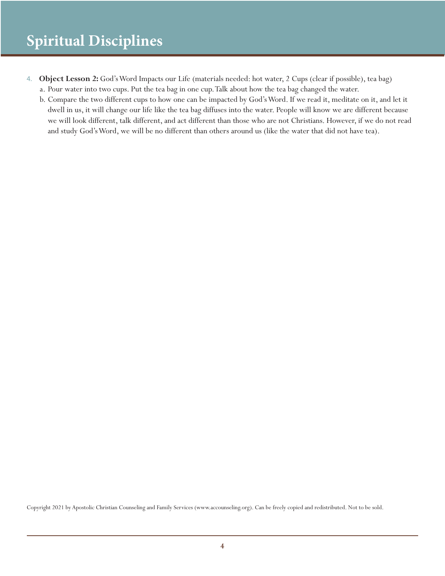- 4. **Object Lesson 2:** God's Word Impacts our Life (materials needed: hot water, 2 Cups (clear if possible), tea bag) a. Pour water into two cups. Put the tea bag in one cup. Talk about how the tea bag changed the water.
	- b. Compare the two different cups to how one can be impacted by God's Word. If we read it, meditate on it, and let it dwell in us, it will change our life like the tea bag diffuses into the water. People will know we are different because we will look different, talk different, and act different than those who are not Christians. However, if we do not read and study God's Word, we will be no different than others around us (like the water that did not have tea).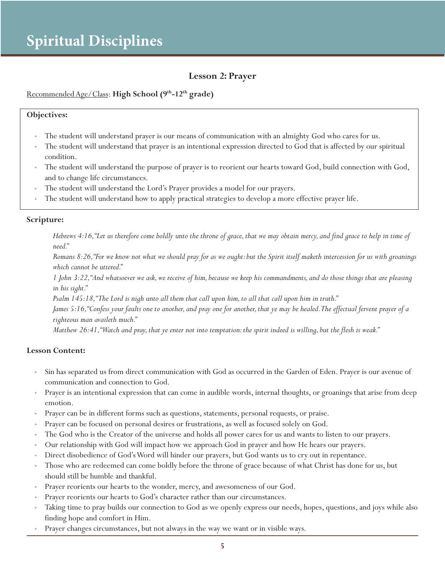#### **Lesson 2: Prayer**

#### Recommended Age/Class: **High School (9th-12th grade)**

#### **Objectives:**

- The student will understand prayer is our means of communication with an almighty God who cares for us.
- The student will understand that prayer is an intentional expression directed to God that is affected by our spiritual condition.
- The student will understand the purpose of prayer is to reorient our hearts toward God, build connection with God, and to change life circumstances.
- The student will understand the Lord's Prayer provides a model for our prayers.
- The student will understand how to apply practical strategies to develop a more effective prayer life.

#### **Scripture:**

*Hebrews 4:16, "Let us therefore come boldly unto the throne of grace, that we may obtain mercy, and find grace to help in time of need."*

*Romans 8:26, "For we know not what we should pray for as we ought: but the Spirit itself maketh intercession for us with groanings which cannot be uttered."*

*1 John 3:22, "And whatsoever we ask, we receive of him, because we keep his commandments, and do those things that are pleasing in his sight."*

*Psalm 145:18, "The Lord is nigh unto all them that call upon him, to all that call upon him in truth."*

*James 5:16, "Confess your faults one to another, and pray one for another, that ye may be healed. The effectual fervent prayer of a righteous man availeth much."*

*Matthew 26:41, "Watch and pray, that ye enter not into temptation: the spirit indeed is willing, but the flesh is weak."*

- Sin has separated us from direct communication with God as occurred in the Garden of Eden. Prayer is our avenue of communication and connection to God.
- Prayer is an intentional expression that can come in audible words, internal thoughts, or groanings that arise from deep emotion.
- Prayer can be in different forms such as questions, statements, personal requests, or praise.
- Prayer can be focused on personal desires or frustrations, as well as focused solely on God.
- The God who is the Creator of the universe and holds all power cares for us and wants to listen to our prayers.
- Our relationship with God will impact how we approach God in prayer and how He hears our prayers.
- Direct disobedience of God's Word will hinder our prayers, but God wants us to cry out in repentance.
- Those who are redeemed can come boldly before the throne of grace because of what Christ has done for us, but should still be humble and thankful.
- Prayer reorients our hearts to the wonder, mercy, and awesomeness of our God.
- Prayer reorients our hearts to God's character rather than our circumstances.
- Taking time to pray builds our connection to God as we openly express our needs, hopes, questions, and joys while also finding hope and comfort in Him.
- Prayer changes circumstances, but not always in the way we want or in visible ways.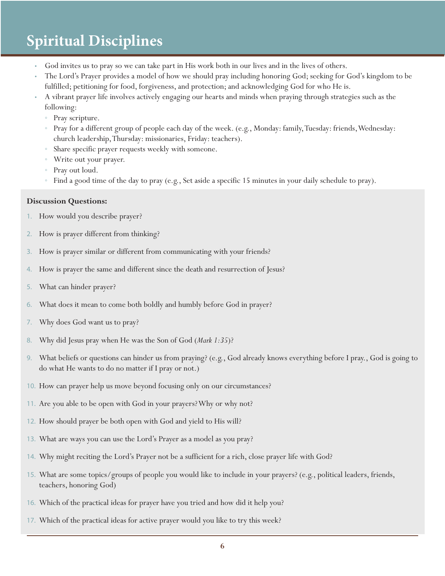- God invites us to pray so we can take part in His work both in our lives and in the lives of others.
- The Lord's Prayer provides a model of how we should pray including honoring God; seeking for God's kingdom to be fulfilled; petitioning for food, forgiveness, and protection; and acknowledging God for who He is.
- A vibrant prayer life involves actively engaging our hearts and minds when praying through strategies such as the following:
	- Pray scripture.
	- Pray for a different group of people each day of the week. (e.g., Monday: family, Tuesday: friends, Wednesday: church leadership, Thursday: missionaries, Friday: teachers).
	- Share specific prayer requests weekly with someone.
	- Write out your prayer.
	- Pray out loud.
	- Find a good time of the day to pray (e.g., Set aside a specific 15 minutes in your daily schedule to pray).

#### **Discussion Questions:**

- 1. How would you describe prayer?
- 2. How is prayer different from thinking?
- 3. How is prayer similar or different from communicating with your friends?
- 4. How is prayer the same and different since the death and resurrection of Jesus?
- 5. What can hinder prayer?
- 6. What does it mean to come both boldly and humbly before God in prayer?
- 7. Why does God want us to pray?
- 8. Why did Jesus pray when He was the Son of God (*Mark 1:35*)?
- 9. What beliefs or questions can hinder us from praying? (e.g., God already knows everything before I pray., God is going to do what He wants to do no matter if I pray or not.)
- 10. How can prayer help us move beyond focusing only on our circumstances?
- 11. Are you able to be open with God in your prayers? Why or why not?
- 12. How should prayer be both open with God and yield to His will?
- 13. What are ways you can use the Lord's Prayer as a model as you pray?
- 14. Why might reciting the Lord's Prayer not be a sufficient for a rich, close prayer life with God?
- 15. What are some topics/groups of people you would like to include in your prayers? (e.g., political leaders, friends, teachers, honoring God)
- 16. Which of the practical ideas for prayer have you tried and how did it help you?
- 17. Which of the practical ideas for active prayer would you like to try this week?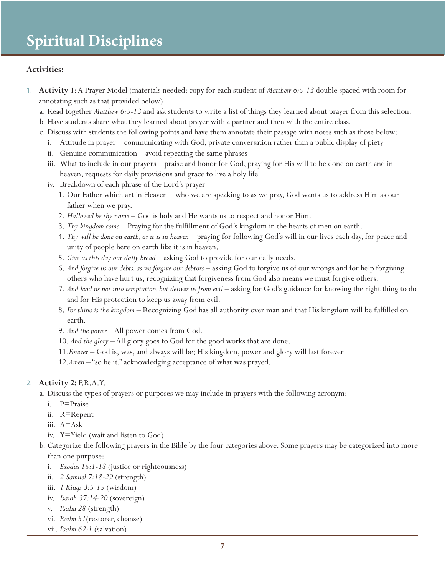#### **Activities:**

- 1. **Activity 1**: A Prayer Model (materials needed: copy for each student of *Matthew 6:5-13* double spaced with room for annotating such as that provided below)
	- a. Read together *Matthew 6:5-13* and ask students to write a list of things they learned about prayer from this selection.
	- b. Have students share what they learned about prayer with a partner and then with the entire class.
	- c. Discuss with students the following points and have them annotate their passage with notes such as those below:
		- i. Attitude in prayer communicating with God, private conversation rather than a public display of piety
		- ii. Genuine communication avoid repeating the same phrases
		- iii. What to include in our prayers praise and honor for God, praying for His will to be done on earth and in heaven, requests for daily provisions and grace to live a holy life
		- iv. Breakdown of each phrase of the Lord's prayer
			- 1. Our Father which art in Heaven who we are speaking to as we pray, God wants us to address Him as our father when we pray.
			- 2. *Hallowed be thy name*  God is holy and He wants us to respect and honor Him.
			- 3. *Thy kingdom come* Praying for the fulfillment of God's kingdom in the hearts of men on earth.
			- 4. *Thy will be done on earth, as it is in heaven* praying for following God's will in our lives each day, for peace and unity of people here on earth like it is in heaven.
			- 5. *Give us this day our daily bread* asking God to provide for our daily needs.
			- 6. *And forgive us our debts, as we forgive our debtors* asking God to forgive us of our wrongs and for help forgiving others who have hurt us, recognizing that forgiveness from God also means we must forgive others.
			- 7. And lead us not into temptation, but deliver us from evil asking for God's guidance for knowing the right thing to do and for His protection to keep us away from evil.
			- 8. *For thine is the kingdom* Recognizing God has all authority over man and that His kingdom will be fulfilled on earth.
			- 9. *And the power*  All power comes from God.
			- 10. *And the glory* All glory goes to God for the good works that are done.
			- 11.*Forever* God is, was, and always will be; His kingdom, power and glory will last forever.
			- 12.*Amen* "so be it," acknowledging acceptance of what was prayed.

#### 2. **Activity 2:** P.R.A.Y.

- a. Discuss the types of prayers or purposes we may include in prayers with the following acronym:
	- i. P=Praise
	- ii. R=Repent
	- iii. A=Ask
	- iv. Y=Yield (wait and listen to God)
- b. Categorize the following prayers in the Bible by the four categories above. Some prayers may be categorized into more than one purpose:
	- i. *Exodus 15:1-18* (justice or righteousness)
	- ii. *2 Samuel 7:18-29* (strength)
	- iii. *1 Kings 3:5-15* (wisdom)
	- iv. *Isaiah 37:14-20* (sovereign)
	- v. *Psalm 28* (strength)
	- vi. *Psalm 51*(restorer, cleanse)
	- vii. *Psalm 62:1* (salvation)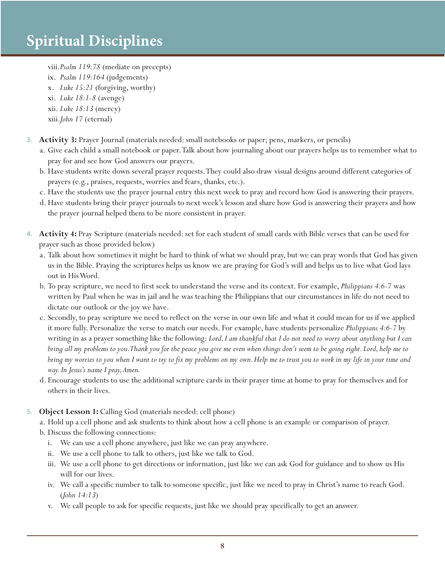- viii.*Psalm 119:78* (mediate on precepts)
- ix. *Psalm 119:164* (judgements)
- x. *Luke 15:21* (forgiving, worthy)
- xi. *Luke 18:1-8* (avenge)
- xii. *Luke 18:13* (mercy)
- xiii.*John 17* (eternal)
- 3. **Activity 3:** Prayer Journal (materials needed: small notebooks or paper; pens, markers, or pencils)
	- a. Give each child a small notebook or paper. Talk about how journaling about our prayers helps us to remember what to pray for and see how God answers our prayers.
	- b. Have students write down several prayer requests. They could also draw visual designs around different categories of prayers (e.g., praises, requests, worries and fears, thanks, etc.).
	- c. Have the students use the prayer journal entry this next week to pray and record how God is answering their prayers.
	- d. Have students bring their prayer journals to next week's lesson and share how God is answering their prayers and how the prayer journal helped them to be more consistent in prayer.
- 4. **Activity 4:** Pray Scripture (materials needed: set for each student of small cards with Bible verses that can be used for prayer such as those provided below)
	- a. Talk about how sometimes it might be hard to think of what we should pray, but we can pray words that God has given us in the Bible. Praying the scriptures helps us know we are praying for God's will and helps us to live what God lays out in His Word.
	- b. To pray scripture, we need to first seek to understand the verse and its context. For example, *Philippians 4:6-7* was written by Paul when he was in jail and he was teaching the Philippians that our circumstances in life do not need to dictate our outlook or the joy we have.
	- c. Secondly, to pray scripture we need to reflect on the verse in our own life and what it could mean for us if we applied it more fully. Personalize the verse to match our needs. For example, have students personalize *Philippians 4:6-7* by writing in as a prayer something like the following: *Lord, I am thankful that I do not need to worry about anything but I can bring all my problems to you. Thank you for the peace you give me even when things don't seem to be going right. Lord, help me to bring my worries to you when I want to try to fix my problems on my own. Help me to trust you to work in my life in your time and way. In Jesus's name I pray, Amen.*
	- d. Encourage students to use the additional scripture cards in their prayer time at home to pray for themselves and for others in their lives.
- 5. **Object Lesson 1:** Calling God (materials needed: cell phone)
	- a. Hold up a cell phone and ask students to think about how a cell phone is an example or comparison of prayer.
	- b. Discuss the following connections:
		- i. We can use a cell phone anywhere, just like we can pray anywhere.
		- ii. We use a cell phone to talk to others, just like we talk to God.
		- iii. We use a cell phone to get directions or information, just like we can ask God for guidance and to show us His will for our lives.
		- iv. We call a specific number to talk to someone specific, just like we need to pray in Christ's name to reach God. (*John 14:13*)
		- v. We call people to ask for specific requests, just like we should pray specifically to get an answer.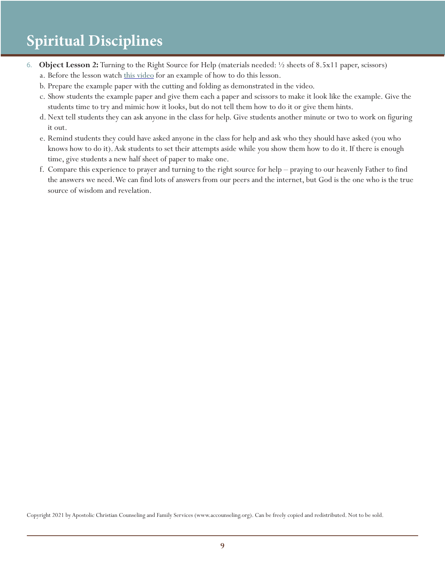- 6. **Object Lesson 2:** Turning to the Right Source for Help (materials needed: ½ sheets of 8.5x11 paper, scissors)
	- a. Before the lesson watch this video for an example of how to do this lesson.
	- b. Prepare the example paper with the cutting and folding as demonstrated in the video.
	- c. Show students the example paper and give them each a paper and scissors to make it look like the example. Give the students time to try and mimic how it looks, but do not tell them how to do it or give them hints.
	- d. Next tell students they can ask anyone in the class for help. Give students another minute or two to work on figuring it out.
	- e. Remind students they could have asked anyone in the class for help and ask who they should have asked (you who knows how to do it). Ask students to set their attempts aside while you show them how to do it. If there is enough time, give students a new half sheet of paper to make one.
	- f. Compare this experience to prayer and turning to the right source for help praying to our heavenly Father to find the answers we need. We can find lots of answers from our peers and the internet, but God is the one who is the true source of wisdom and revelation.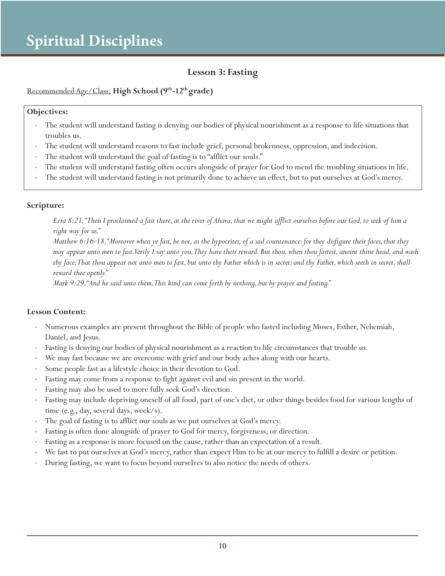## **Lesson 3: Fasting**

#### Recommended Age/Class: **High School (9th-12th grade)**

#### **Objectives:**

- The student will understand fasting is denying our bodies of physical nourishment as a response to life situations that troubles us.
- The student will understand reasons to fast include grief, personal brokenness, oppression, and indecision.
- The student will understand the goal of fasting is to "afflict our souls."
- The student will understand fasting often occurs alongside of prayer for God to mend the troubling situations in life.
- The student will understand fasting is not primarily done to achieve an effect, but to put ourselves at God's mercy.

#### **Scripture:**

*Ezra 8:21, "Then I proclaimed a fast there, at the river of Ahava, that we might afflict ourselves before our God, to seek of him a right way for us."*

*Matthew 6:16-18, "Moreover when ye fast, be not, as the hypocrites, of a sad countenance: for they disfigure their faces, that they may appear unto men to fast. Verily I say unto you, They have their reward. But thou, when thou fastest, anoint thine head, and wash thy face; That thou appear not unto men to fast, but unto thy Father which is in secret: and thy Father, which seeth in secret, shall reward thee openly."*

*Mark 9:29, "And he said unto them, This kind can come forth by nothing, but by prayer and fasting."*

- Numerous examples are present throughout the Bible of people who fasted including Moses, Esther, Nehemiah, Daniel, and Jesus.
- Fasting is denying our bodies of physical nourishment as a reaction to life circumstances that trouble us.
- We may fast because we are overcome with grief and our body aches along with our hearts.
- Some people fast as a lifestyle choice in their devotion to God.
- Fasting may come from a response to fight against evil and sin present in the world.
- Fasting may also be used to more fully seek God's direction.
- Fasting may include depriving oneself of all food, part of one's diet, or other things besides food for various lengths of time (e.g., day, several days, week/s).
- The goal of fasting is to afflict our souls as we put ourselves at God's mercy.
- Fasting is often done alongside of prayer to God for mercy, forgiveness, or direction.
- Fasting as a response is more focused on the cause, rather than an expectation of a result.
- We fast to put ourselves at God's mercy, rather than expect Him to be at our mercy to fulfill a desire or petition.
- During fasting, we want to focus beyond ourselves to also notice the needs of others.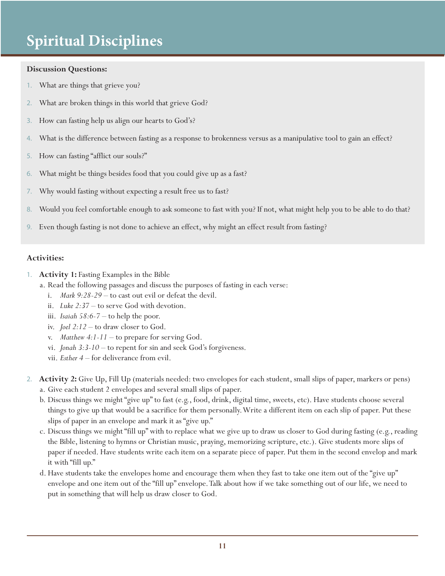#### **Discussion Questions:**

- 1. What are things that grieve you?
- 2. What are broken things in this world that grieve God?
- 3. How can fasting help us align our hearts to God's?
- 4. What is the difference between fasting as a response to brokenness versus as a manipulative tool to gain an effect?
- 5. How can fasting "afflict our souls?"
- 6. What might be things besides food that you could give up as a fast?
- 7. Why would fasting without expecting a result free us to fast?
- 8. Would you feel comfortable enough to ask someone to fast with you? If not, what might help you to be able to do that?
- 9. Even though fasting is not done to achieve an effect, why might an effect result from fasting?

#### **Activities:**

- 1. **Activity 1:** Fasting Examples in the Bible
	- a. Read the following passages and discuss the purposes of fasting in each verse:
		- i. *Mark 9:28-29*  to cast out evil or defeat the devil.
		- ii. *Luke 2:37*  to serve God with devotion.
		- iii. *Isaiah 58:6-7* to help the poor.
		- iv. *Joel 2:12*  to draw closer to God.
		- v. *Matthew 4:1-11* to prepare for serving God.
		- vi. *Jonah 3:3-10* to repent for sin and seek God's forgiveness.
		- vii. *Esther 4*  for deliverance from evil.
- 2. **Activity 2:** Give Up, Fill Up (materials needed: two envelopes for each student, small slips of paper, markers or pens) a. Give each student 2 envelopes and several small slips of paper.
	- b. Discuss things we might "give up" to fast (e.g., food, drink, digital time, sweets, etc). Have students choose several things to give up that would be a sacrifice for them personally. Write a different item on each slip of paper. Put these slips of paper in an envelope and mark it as "give up."
	- c. Discuss things we might "fill up" with to replace what we give up to draw us closer to God during fasting (e.g., reading the Bible, listening to hymns or Christian music, praying, memorizing scripture, etc.). Give students more slips of paper if needed. Have students write each item on a separate piece of paper. Put them in the second envelop and mark it with "fill up."
	- d. Have students take the envelopes home and encourage them when they fast to take one item out of the "give up" envelope and one item out of the "fill up" envelope. Talk about how if we take something out of our life, we need to put in something that will help us draw closer to God.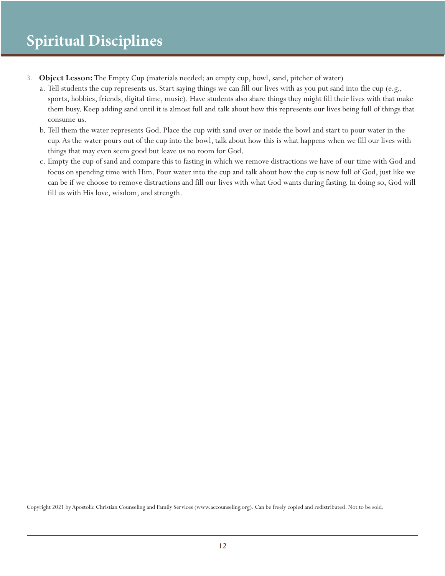- 3. **Object Lesson:** The Empty Cup (materials needed: an empty cup, bowl, sand, pitcher of water)
	- a. Tell students the cup represents us. Start saying things we can fill our lives with as you put sand into the cup (e.g., sports, hobbies, friends, digital time, music). Have students also share things they might fill their lives with that make them busy. Keep adding sand until it is almost full and talk about how this represents our lives being full of things that consume us.
	- b. Tell them the water represents God. Place the cup with sand over or inside the bowl and start to pour water in the cup. As the water pours out of the cup into the bowl, talk about how this is what happens when we fill our lives with things that may even seem good but leave us no room for God.
	- c. Empty the cup of sand and compare this to fasting in which we remove distractions we have of our time with God and focus on spending time with Him. Pour water into the cup and talk about how the cup is now full of God, just like we can be if we choose to remove distractions and fill our lives with what God wants during fasting. In doing so, God will fill us with His love, wisdom, and strength.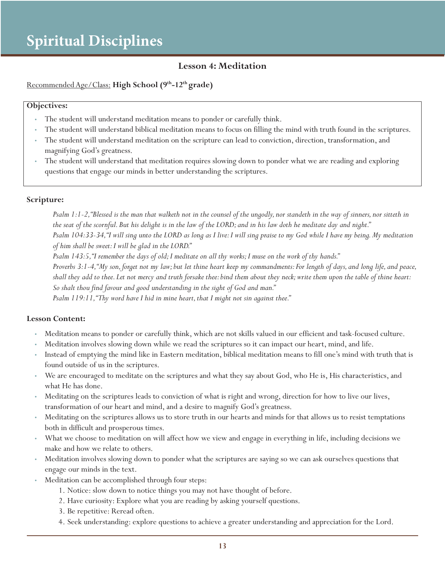### **Lesson 4: Meditation**

#### Recommended Age/Class: **High School (9th-12th grade)**

#### **Objectives:**

- The student will understand meditation means to ponder or carefully think.
- The student will understand biblical meditation means to focus on filling the mind with truth found in the scriptures.
- The student will understand meditation on the scripture can lead to conviction, direction, transformation, and magnifying God's greatness.
- The student will understand that meditation requires slowing down to ponder what we are reading and exploring questions that engage our minds in better understanding the scriptures.

#### **Scripture:**

*Psalm 1:1-2, "Blessed is the man that walketh not in the counsel of the ungodly, nor standeth in the way of sinners, nor sitteth in the seat of the scornful. But his delight is in the law of the LORD; and in his law doth he meditate day and night." Psalm 104:33-34, "I will sing unto the LORD as long as I live: I will sing praise to my God while I have my being. My meditation of him shall be sweet: I will be glad in the LORD."*

*Psalm 143:5, "I remember the days of old; I meditate on all thy works; I muse on the work of thy hands."*

*Proverbs 3:1-4, "My son, forget not my law; but let thine heart keep my commandments: For length of days, and long life, and peace, shall they add to thee. Let not mercy and truth forsake thee: bind them about they neck; write them upon the table of thine heart: So shalt thou find favour and good understanding in the sight of God and man."*

*Psalm 119:11, "Thy word have I hid in mine heart, that I might not sin against thee."*

- Meditation means to ponder or carefully think, which are not skills valued in our efficient and task-focused culture.
- Meditation involves slowing down while we read the scriptures so it can impact our heart, mind, and life.
- Instead of emptying the mind like in Eastern meditation, biblical meditation means to fill one's mind with truth that is found outside of us in the scriptures.
- We are encouraged to meditate on the scriptures and what they say about God, who He is, His characteristics, and what He has done.
- Meditating on the scriptures leads to conviction of what is right and wrong, direction for how to live our lives, transformation of our heart and mind, and a desire to magnify God's greatness.
- Meditating on the scriptures allows us to store truth in our hearts and minds for that allows us to resist temptations both in difficult and prosperous times.
- What we choose to meditation on will affect how we view and engage in everything in life, including decisions we make and how we relate to others.
- Meditation involves slowing down to ponder what the scriptures are saying so we can ask ourselves questions that engage our minds in the text.
- Meditation can be accomplished through four steps:
	- 1. Notice: slow down to notice things you may not have thought of before.
	- 2. Have curiosity: Explore what you are reading by asking yourself questions.
	- 3. Be repetitive: Reread often.
	- 4. Seek understanding: explore questions to achieve a greater understanding and appreciation for the Lord.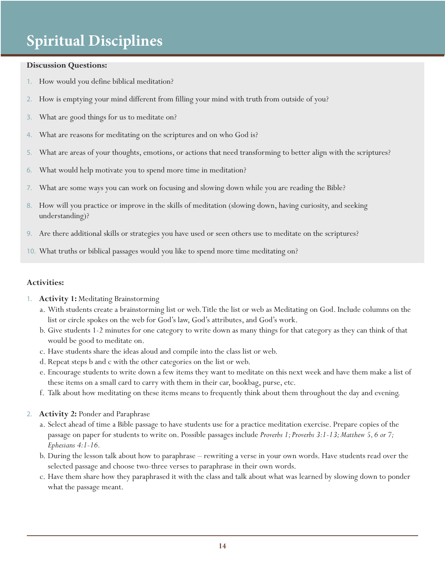#### **Discussion Questions:**

- 1. How would you define biblical meditation?
- 2. How is emptying your mind different from filling your mind with truth from outside of you?
- 3. What are good things for us to meditate on?
- 4. What are reasons for meditating on the scriptures and on who God is?
- 5. What are areas of your thoughts, emotions, or actions that need transforming to better align with the scriptures?
- 6. What would help motivate you to spend more time in meditation?
- 7. What are some ways you can work on focusing and slowing down while you are reading the Bible?
- 8. How will you practice or improve in the skills of meditation (slowing down, having curiosity, and seeking understanding)?
- 9. Are there additional skills or strategies you have used or seen others use to meditate on the scriptures?
- 10. What truths or biblical passages would you like to spend more time meditating on?

#### **Activities:**

- 1. **Activity 1:** Meditating Brainstorming
	- a. With students create a brainstorming list or web. Title the list or web as Meditating on God. Include columns on the list or circle spokes on the web for God's law, God's attributes, and God's work.
	- b. Give students 1-2 minutes for one category to write down as many things for that category as they can think of that would be good to meditate on.
	- c. Have students share the ideas aloud and compile into the class list or web.
	- d. Repeat steps b and c with the other categories on the list or web.
	- e. Encourage students to write down a few items they want to meditate on this next week and have them make a list of these items on a small card to carry with them in their car, bookbag, purse, etc.
	- f. Talk about how meditating on these items means to frequently think about them throughout the day and evening.
- 2. **Activity 2:** Ponder and Paraphrase
	- a. Select ahead of time a Bible passage to have students use for a practice meditation exercise. Prepare copies of the passage on paper for students to write on. Possible passages include *Proverbs 1; Proverbs 3:1-13; Matthew 5, 6 or 7; Ephesians 4:1-16.*
	- b. During the lesson talk about how to paraphrase rewriting a verse in your own words. Have students read over the selected passage and choose two-three verses to paraphrase in their own words.
	- c. Have them share how they paraphrased it with the class and talk about what was learned by slowing down to ponder what the passage meant.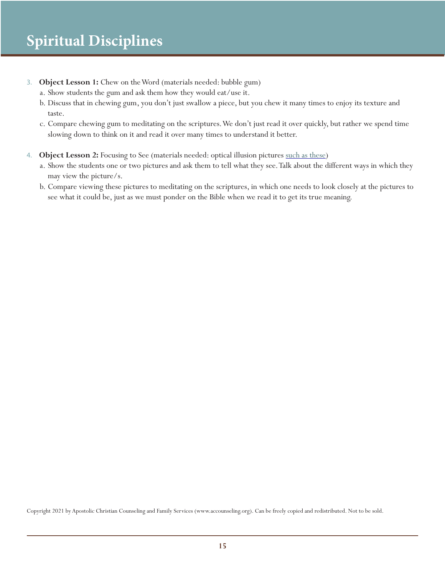- 3. **Object Lesson 1:** Chew on the Word (materials needed: bubble gum)
	- a. Show students the gum and ask them how they would eat/use it.
	- b. Discuss that in chewing gum, you don't just swallow a piece, but you chew it many times to enjoy its texture and taste.
	- c. Compare chewing gum to meditating on the scriptures. We don't just read it over quickly, but rather we spend time slowing down to think on it and read it over many times to understand it better.
- 4. **Object Lesson 2:** Focusing to See (materials needed: optical illusion pictures such as these)
	- a. Show the students one or two pictures and ask them to tell what they see. Talk about the different ways in which they may view the picture/s.
	- b. Compare viewing these pictures to meditating on the scriptures, in which one needs to look closely at the pictures to see what it could be, just as we must ponder on the Bible when we read it to get its true meaning.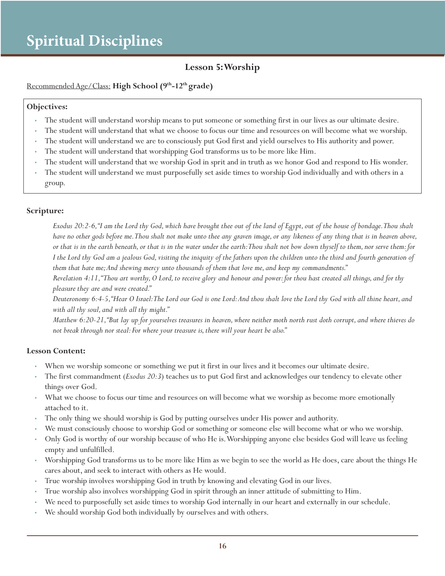## **Lesson 5: Worship**

#### Recommended Age/Class: **High School (9th-12th grade)**

#### **Objectives:**

- The student will understand worship means to put someone or something first in our lives as our ultimate desire.
- The student will understand that what we choose to focus our time and resources on will become what we worship.
- The student will understand we are to consciously put God first and yield ourselves to His authority and power.
- The student will understand that worshipping God transforms us to be more like Him.
- The student will understand that we worship God in sprit and in truth as we honor God and respond to His wonder.
- The student will understand we must purposefully set aside times to worship God individually and with others in a group.

#### **Scripture:**

*Exodus 20:2-6, "I am the Lord thy God, which have brought thee out of the land of Egypt, out of the house of bondage. Thou shalt have no other gods before me. Thou shalt not make unto thee any graven image, or any likeness of any thing that is in heaven above, or that is in the earth beneath, or that is in the water under the earth: Thou shalt not bow down thyself to them, nor serve them: for I the Lord thy God am a jealous God, visiting the iniquity of the fathers upon the children unto the third and fourth generation of them that hate me; And shewing mercy unto thousands of them that love me, and keep my commandments."*

*Revelation 4:11, "Thou art worthy, O Lord, to receive glory and honour and power: for thou hast created all things, and for thy pleasure they are and were created."*

*Deuteronomy 6:4-5, "Hear O Israel: The Lord our God is one Lord: And thou shalt love the Lord thy God with all thine heart, and with all thy soul, and with all thy might."*

*Matthew 6:20-21, "But lay up for yourselves treasures in heaven, where neither moth north rust doth corrupt, and where thieves do not break through nor steal: For where your treasure is, there will your heart be also."*

- When we worship someone or something we put it first in our lives and it becomes our ultimate desire.
- The first commandment (*Exodus 20:3*) teaches us to put God first and acknowledges our tendency to elevate other things over God.
- What we choose to focus our time and resources on will become what we worship as become more emotionally attached to it.
- The only thing we should worship is God by putting ourselves under His power and authority.
- We must consciously choose to worship God or something or someone else will become what or who we worship.
- Only God is worthy of our worship because of who He is. Worshipping anyone else besides God will leave us feeling empty and unfulfilled.
- Worshipping God transforms us to be more like Him as we begin to see the world as He does, care about the things He cares about, and seek to interact with others as He would.
- True worship involves worshipping God in truth by knowing and elevating God in our lives.
- True worship also involves worshipping God in spirit through an inner attitude of submitting to Him.
- We need to purposefully set aside times to worship God internally in our heart and externally in our schedule.
- We should worship God both individually by ourselves and with others.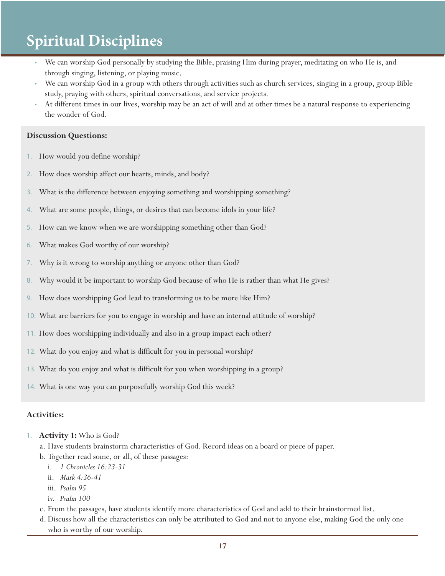- We can worship God personally by studying the Bible, praising Him during prayer, meditating on who He is, and through singing, listening, or playing music.
- We can worship God in a group with others through activities such as church services, singing in a group, group Bible study, praying with others, spiritual conversations, and service projects.
- At different times in our lives, worship may be an act of will and at other times be a natural response to experiencing the wonder of God.

#### **Discussion Questions:**

- 1. How would you define worship?
- 2. How does worship affect our hearts, minds, and body?
- 3. What is the difference between enjoying something and worshipping something?
- 4. What are some people, things, or desires that can become idols in your life?
- 5. How can we know when we are worshipping something other than God?
- 6. What makes God worthy of our worship?
- 7. Why is it wrong to worship anything or anyone other than God?
- 8. Why would it be important to worship God because of who He is rather than what He gives?
- 9. How does worshipping God lead to transforming us to be more like Him?
- 10. What are barriers for you to engage in worship and have an internal attitude of worship?
- 11. How does worshipping individually and also in a group impact each other?
- 12. What do you enjoy and what is difficult for you in personal worship?
- 13. What do you enjoy and what is difficult for you when worshipping in a group?
- 14. What is one way you can purposefully worship God this week?

#### **Activities:**

- 1. **Activity 1:** Who is God?
	- a. Have students brainstorm characteristics of God. Record ideas on a board or piece of paper.
	- b. Together read some, or all, of these passages:
		- i. *1 Chronicles 16:23-31*
		- ii. *Mark 4:36-41*
		- iii. *Psalm 95*
		- iv. *Psalm 100*
	- c. From the passages, have students identify more characteristics of God and add to their brainstormed list.
	- d. Discuss how all the characteristics can only be attributed to God and not to anyone else, making God the only one who is worthy of our worship.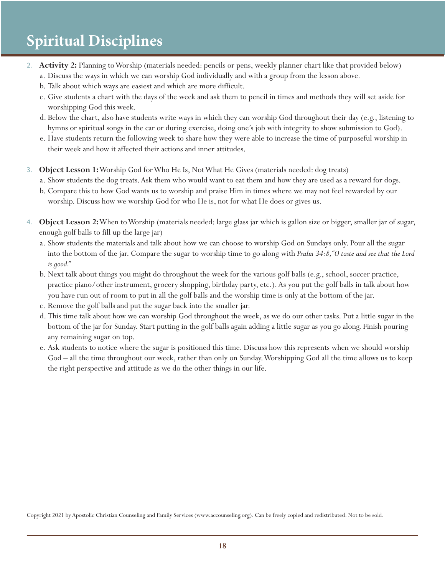- 2. **Activity 2:** Planning to Worship (materials needed: pencils or pens, weekly planner chart like that provided below) a. Discuss the ways in which we can worship God individually and with a group from the lesson above.
	- b. Talk about which ways are easiest and which are more difficult.
	- c. Give students a chart with the days of the week and ask them to pencil in times and methods they will set aside for worshipping God this week.
	- d. Below the chart, also have students write ways in which they can worship God throughout their day (e.g., listening to hymns or spiritual songs in the car or during exercise, doing one's job with integrity to show submission to God).
	- e. Have students return the following week to share how they were able to increase the time of purposeful worship in their week and how it affected their actions and inner attitudes.
- 3. **Object Lesson 1:** Worship God for Who He Is, Not What He Gives (materials needed: dog treats)
	- a. Show students the dog treats. Ask them who would want to eat them and how they are used as a reward for dogs.
	- b. Compare this to how God wants us to worship and praise Him in times where we may not feel rewarded by our worship. Discuss how we worship God for who He is, not for what He does or gives us.
- 4. **Object Lesson 2:** When to Worship (materials needed: large glass jar which is gallon size or bigger, smaller jar of sugar, enough golf balls to fill up the large jar)
	- a. Show students the materials and talk about how we can choose to worship God on Sundays only. Pour all the sugar into the bottom of the jar. Compare the sugar to worship time to go along with *Psalm 34:8, "O taste and see that the Lord is good."*
	- b. Next talk about things you might do throughout the week for the various golf balls (e.g., school, soccer practice, practice piano/other instrument, grocery shopping, birthday party, etc.). As you put the golf balls in talk about how you have run out of room to put in all the golf balls and the worship time is only at the bottom of the jar.
	- c. Remove the golf balls and put the sugar back into the smaller jar.
	- d. This time talk about how we can worship God throughout the week, as we do our other tasks. Put a little sugar in the bottom of the jar for Sunday. Start putting in the golf balls again adding a little sugar as you go along. Finish pouring any remaining sugar on top.
	- e. Ask students to notice where the sugar is positioned this time. Discuss how this represents when we should worship God – all the time throughout our week, rather than only on Sunday. Worshipping God all the time allows us to keep the right perspective and attitude as we do the other things in our life.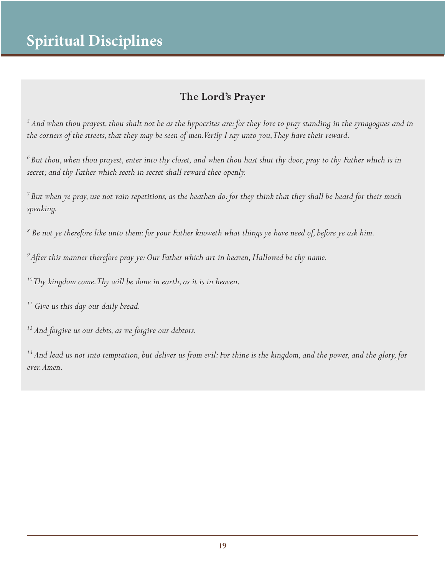## **The Lord's Prayer**

*5 And when thou prayest, thou shalt not be as the hypocrites are: for they love to pray standing in the synagogues and in the corners of the streets, that they may be seen of men. Verily I say unto you, They have their reward.*

*<sup>6</sup>But thou, when thou prayest, enter into thy closet, and when thou hast shut thy door, pray to thy Father which is in secret; and thy Father which seeth in secret shall reward thee openly.*

*7 But when ye pray, use not vain repetitions, as the heathen do: for they think that they shall be heard for their much speaking.*

*8 Be not ye therefore like unto them: for your Father knoweth what things ye have need of, before ye ask him.*

*<sup>9</sup>After this manner therefore pray ye: Our Father which art in heaven, Hallowed be thy name.*

*10 Thy kingdom come. Thy will be done in earth, as it is in heaven.*

*11 Give us this day our daily bread.*

*12 And forgive us our debts, as we forgive our debtors.*

*<sup>13</sup> And lead us not into temptation, but deliver us from evil: For thine is the kingdom, and the power, and the glory, for ever. Amen.*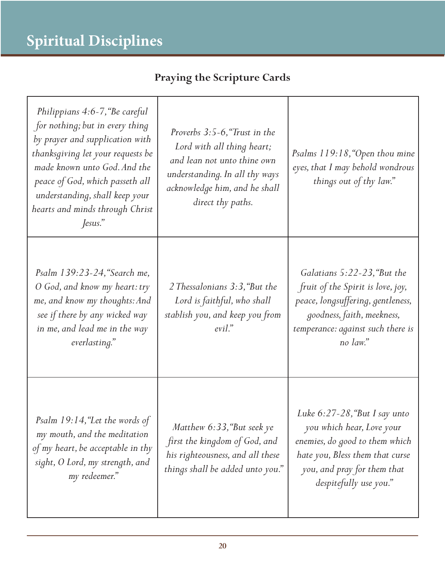| Philippians 4:6-7, "Be careful<br>for nothing; but in every thing<br>by prayer and supplication with<br>thanksgiving let your requests be<br>made known unto God. And the<br>peace of God, which passeth all<br>understanding, shall keep your<br>hearts and minds through Christ<br>Jesus." | Proverbs 3:5-6, "Trust in the<br>Lord with all thing heart;<br>and lean not unto thine own<br>understanding. In all thy ways<br>acknowledge him, and he shall<br>direct thy paths. | Psalms 119:18, "Open thou mine<br>eyes, that I may behold wondrous<br>things out of thy law."                                                                                                |
|----------------------------------------------------------------------------------------------------------------------------------------------------------------------------------------------------------------------------------------------------------------------------------------------|------------------------------------------------------------------------------------------------------------------------------------------------------------------------------------|----------------------------------------------------------------------------------------------------------------------------------------------------------------------------------------------|
| Psalm 139:23-24, "Search me,<br>O God, and know my heart: try<br>me, and know my thoughts: And<br>see if there by any wicked way<br>in me, and lead me in the way<br>everlasting."                                                                                                           | 2 Thessalonians 3:3, "But the<br>Lord is faithful, who shall<br>stablish you, and keep you from<br>$evil$ ."                                                                       | Galatians 5:22-23, "But the<br>fruit of the Spirit is love, joy,<br>peace, longsuffering, gentleness,<br>goodness, faith, meekness,<br>temperance: against such there is<br>no law."         |
| Psalm 19:14, "Let the words of<br>my mouth, and the meditation<br>of my heart, be acceptable in thy<br>sight, O Lord, my strength, and<br>my redeemer."                                                                                                                                      | Matthew 6:33, "But seek ye<br>first the kingdom of God, and<br>his righteousness, and all these<br>things shall be added unto you."                                                | Luke $6:27-28$ , "But I say unto"<br>you which hear, Love your<br>enemies, do good to them which<br>hate you, Bless them that curse<br>you, and pray for them that<br>despitefully use you." |

## **Praying the Scripture Cards**